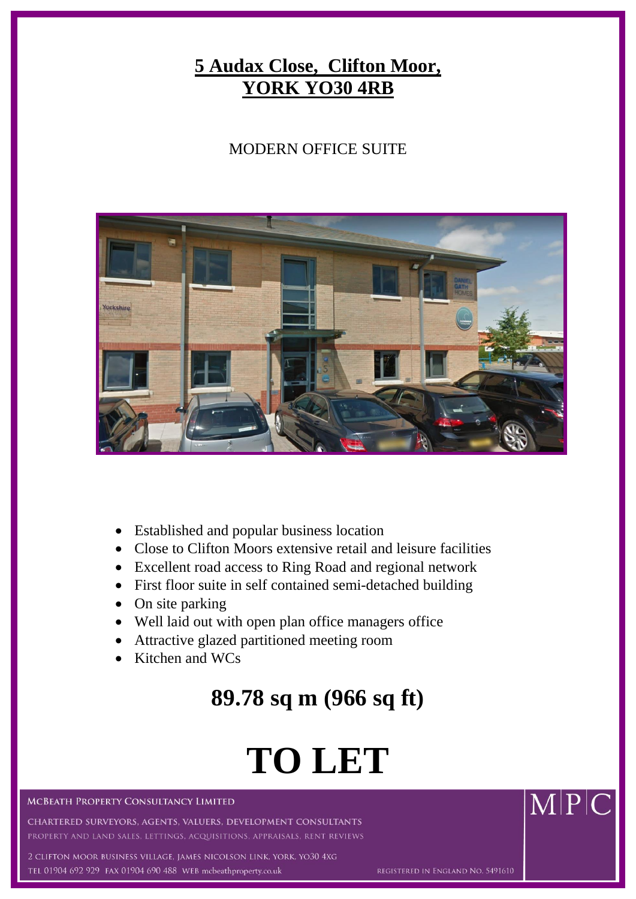## **5 Audax Close, Clifton Moor, YORK YO30 4RB**

### MODERN OFFICE SUITE



- Established and popular business location
- Close to Clifton Moors extensive retail and leisure facilities
- Excellent road access to Ring Road and regional network
- First floor suite in self contained semi-detached building
- On site parking
- Well laid out with open plan office managers office
- Attractive glazed partitioned meeting room
- Kitchen and WCs

# **89.78 sq m (966 sq ft)**

# **TO LET**

### **MCBEATH PROPERTY CONSULTANCY LIMITED**

CHARTERED SURVEYORS, AGENTS, VALUERS, DEVELOPMENT CONSULTANTS RTY AND LAND SALES, LETTINGS, ACQUISITIONS, APPRAISALS, RENT REVIEWS

ton moor business village, james nicolson link, york, yo30 4xg TEL 01904 692 929 FAX 01904 690 488 WEB mcbeathproperty.co.uk

 $\overline{\text{M}}$  $\overline{\text{P}}$  $\overline{\text{C}}$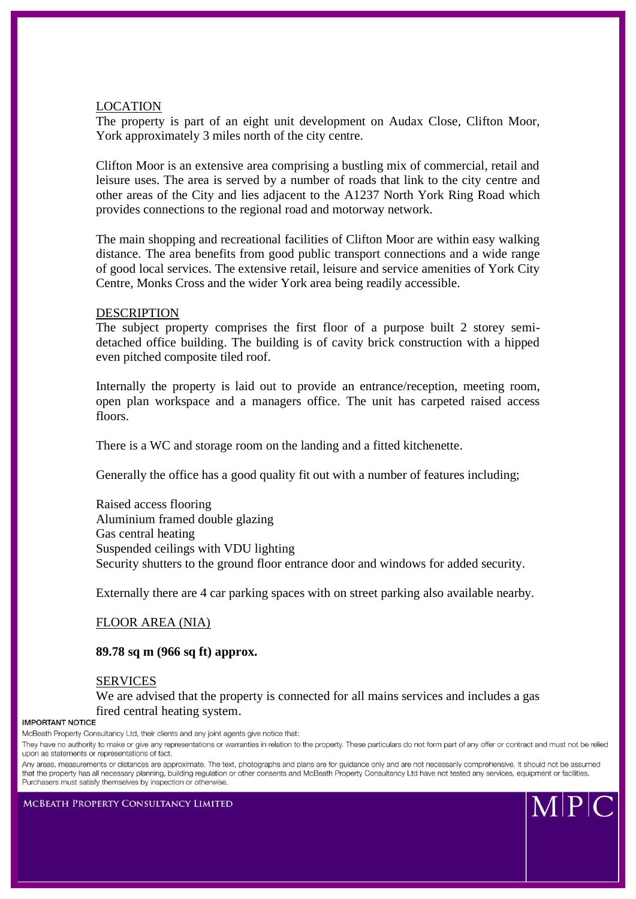### LOCATION

The property is part of an eight unit development on Audax Close, Clifton Moor, York approximately 3 miles north of the city centre.

Clifton Moor is an extensive area comprising a bustling mix of commercial, retail and leisure uses. The area is served by a number of roads that link to the city centre and other areas of the City and lies adjacent to the A1237 North York Ring Road which provides connections to the regional road and motorway network.

The main shopping and recreational facilities of Clifton Moor are within easy walking distance. The area benefits from good public transport connections and a wide range of good local services. The extensive retail, leisure and service amenities of York City Centre, Monks Cross and the wider York area being readily accessible.

### DESCRIPTION

The subject property comprises the first floor of a purpose built 2 storey semidetached office building. The building is of cavity brick construction with a hipped even pitched composite tiled roof.

Internally the property is laid out to provide an entrance/reception, meeting room, open plan workspace and a managers office. The unit has carpeted raised access floors.

There is a WC and storage room on the landing and a fitted kitchenette.

Generally the office has a good quality fit out with a number of features including;

Raised access flooring Aluminium framed double glazing Gas central heating Suspended ceilings with VDU lighting Security shutters to the ground floor entrance door and windows for added security.

Externally there are 4 car parking spaces with on street parking also available nearby.

### FLOOR AREA (NIA)

### **89.78 sq m (966 sq ft) approx.**

### SERVICES

We are advised that the property is connected for all mains services and includes a gas fired central heating system.

McBeath Property Consultancy Ltd, their clients and any joint agents give notice that:

They have no authority to make or give any representations or warranties in relation to the property. These particulars do not form part of any offer or contract and must not be relied upon as statements or representations of fact.

Any areas, measurements or distances are approximate. The text, photographs and plans are for guidance only and are not necessarily comprehensive. It should not be assumed that the property has all necessary planning, building regulation or other consents and McBeath Property Consultancy Ltd have not tested any services, equipment or facilities. Purchasers must satisfy themselves by inspection or otherwise.

**MCBEATH PROPERTY CONSULTANCY LIMITED** 

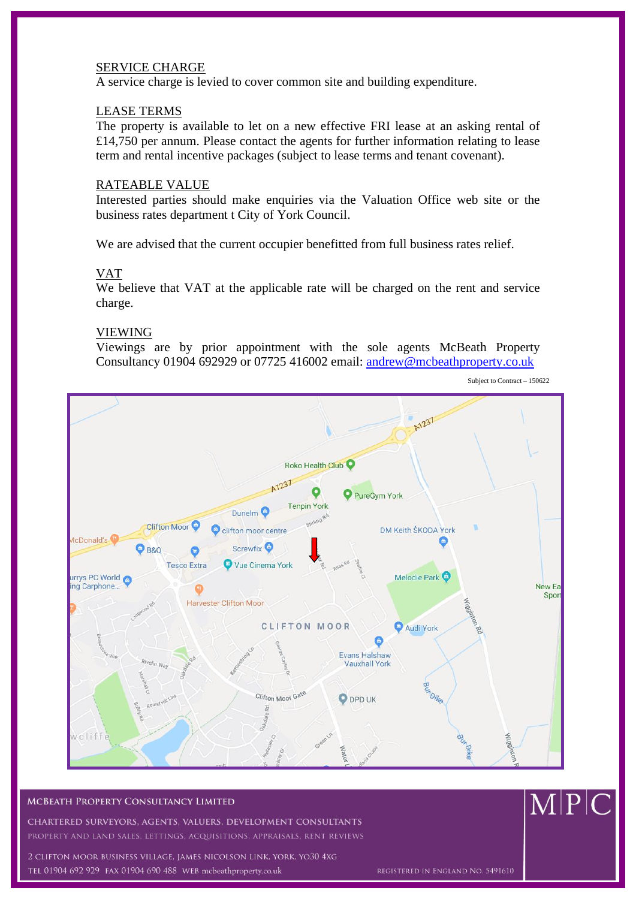### SERVICE CHARGE

A service charge is levied to cover common site and building expenditure.

### LEASE TERMS

The property is available to let on a new effective FRI lease at an asking rental of £14,750 per annum. Please contact the agents for further information relating to lease term and rental incentive packages (subject to lease terms and tenant covenant).

### RATEABLE VALUE

Interested parties should make enquiries via the Valuation Office web site or the business rates department t City of York Council.

We are advised that the current occupier benefitted from full business rates relief.

### VAT

We believe that VAT at the applicable rate will be charged on the rent and service charge.

### VIEWING

Viewings are by prior appointment with the sole agents McBeath Property Consultancy 01904 692929 or 07725 416002 email: [andrew@mcbeathproperty.co.uk](mailto:andrew@mcbeathproperty.co.uk)



Subject to Contract – 150622

### **MCBEATH PROPERTY CONSULTANCY LIMITED**

CHARTERED SURVEYORS, AGENTS, VALUERS, DEVELOPMENT CONSULTANTS PROPERTY AND LAND SALES, LETTINGS, ACQUISITIONS, APPRAISALS, RENT REVIEWS

2 CLIFTON MOOR BUSINESS VILLAGE, JAMES NICOLSON LINK, YORK, YO30 4XG TEL 01904 692 929 FAX 01904 690 488 WEB mcbeathproperty.co.uk

 $M|P|C$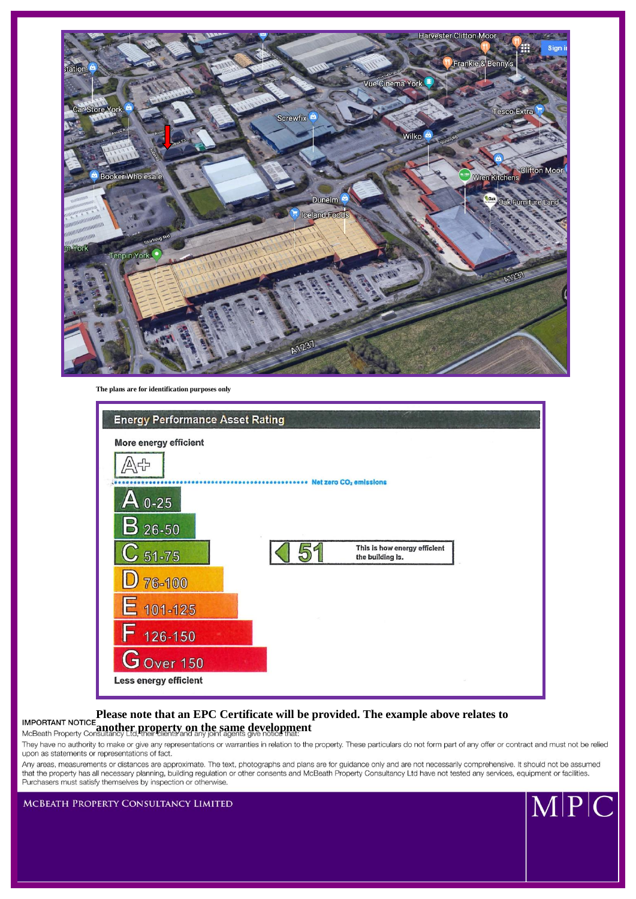

**The plans are for identification purposes only**



### **IMPORTANT NOTICE** Please note that an EPC Certificate will be provided. The example above relates to **INITY MONEY INCREASED ANOTHER PROPERTY ON the same development**

They have no authority to make or give any representations or warranties in relation to the property. These particulars do not form part of any offer or contract and must not be relied upon as statements or representations of fact.

Any areas, measurements or distances are approximate. The text, photographs and plans are for guidance only and are not necessarily comprehensive. It should not be assumed that the property has all necessary planning, building regulation or other consents and McBeath Property Consultancy Ltd have not tested any services, equipment or facilities. Purchasers must satisfy themselves by inspection or otherwise.

MCBEATH PROPERTY CONSULTANCY LIMITED